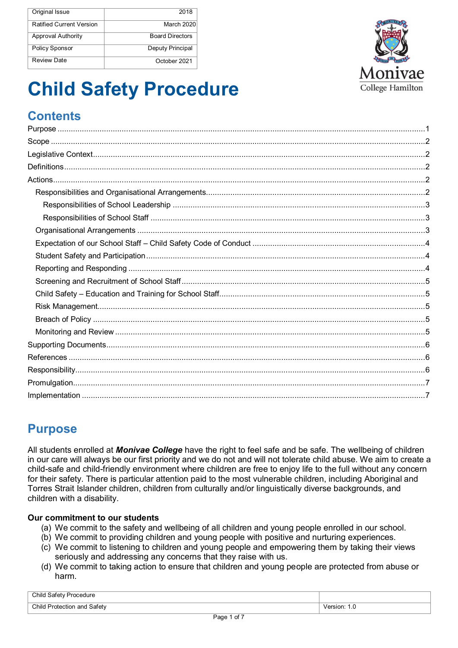| Original Issue                  | 2018                   |
|---------------------------------|------------------------|
| <b>Ratified Current Version</b> | March 2020             |
| <b>Approval Authority</b>       | <b>Board Directors</b> |
| Policy Sponsor                  | Deputy Principal       |
| Review Date                     | October 2021           |



# **Child Safety Procedure**

# **Contents**

# **Purpose**

All students enrolled at *Monivae College* have the right to feel safe and be safe. The wellbeing of children in our care will always be our first priority and we do not and will not tolerate child abuse. We aim to create a child-safe and child-friendly environment where children are free to enjoy life to the full without any concern for their safety. There is particular attention paid to the most vulnerable children, including Aboriginal and Torres Strait Islander children, children from culturally and/or linguistically diverse backgrounds, and children with a disability.

#### **Our commitment to our students**

- (a) We commit to the safety and wellbeing of all children and young people enrolled in our school.
- (b) We commit to providing children and young people with positive and nurturing experiences.
- (c) We commit to listening to children and young people and empowering them by taking their views seriously and addressing any concerns that they raise with us.
- (d) We commit to taking action to ensure that children and young people are protected from abuse or harm.

| Child Safety Procedure      |                               |
|-----------------------------|-------------------------------|
| Child Protection and Safety | $\degree$ Version: 1. $\circ$ |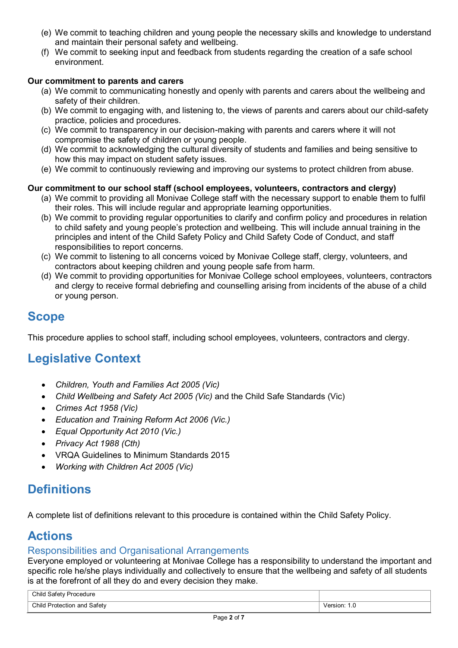- (e) We commit to teaching children and young people the necessary skills and knowledge to understand and maintain their personal safety and wellbeing.
- (f) We commit to seeking input and feedback from students regarding the creation of a safe school environment.

#### **Our commitment to parents and carers**

- (a) We commit to communicating honestly and openly with parents and carers about the wellbeing and safety of their children.
- (b) We commit to engaging with, and listening to, the views of parents and carers about our child-safety practice, policies and procedures.
- (c) We commit to transparency in our decision-making with parents and carers where it will not compromise the safety of children or young people.
- (d) We commit to acknowledging the cultural diversity of students and families and being sensitive to how this may impact on student safety issues.
- (e) We commit to continuously reviewing and improving our systems to protect children from abuse.

#### **Our commitment to our school staff (school employees, volunteers, contractors and clergy)**

- (a) We commit to providing all Monivae College staff with the necessary support to enable them to fulfil their roles. This will include regular and appropriate learning opportunities.
- (b) We commit to providing regular opportunities to clarify and confirm policy and procedures in relation to child safety and young people's protection and wellbeing. This will include annual training in the principles and intent of the Child Safety Policy and Child Safety Code of Conduct, and staff responsibilities to report concerns.
- (c) We commit to listening to all concerns voiced by Monivae College staff, clergy, volunteers, and contractors about keeping children and young people safe from harm.
- (d) We commit to providing opportunities for Monivae College school employees, volunteers, contractors and clergy to receive formal debriefing and counselling arising from incidents of the abuse of a child or young person.

### **Scope**

This procedure applies to school staff, including school employees, volunteers, contractors and clergy.

# **Legislative Context**

- *Children, Youth and Families Act 2005 (Vic)*
- *Child Wellbeing and Safety Act 2005 (Vic)* and the Child Safe Standards (Vic)
- *Crimes Act 1958 (Vic)*
- *Education and Training Reform Act 2006 (Vic.)*
- *Equal Opportunity Act 2010 (Vic.)*
- *Privacy Act 1988 (Cth)*
- VRQA Guidelines to Minimum Standards 2015
- *Working with Children Act 2005 (Vic)*

# **Definitions**

A complete list of definitions relevant to this procedure is contained within the Child Safety Policy.

# **Actions**

#### Responsibilities and Organisational Arrangements

Everyone employed or volunteering at Monivae College has a responsibility to understand the important and specific role he/she plays individually and collectively to ensure that the wellbeing and safety of all students is at the forefront of all they do and every decision they make.

| Child Safety<br>Procedure |                     |
|---------------------------|---------------------|
| Child Protection and      | ersion <sup>.</sup> |
| . Safetv                  | 1.U                 |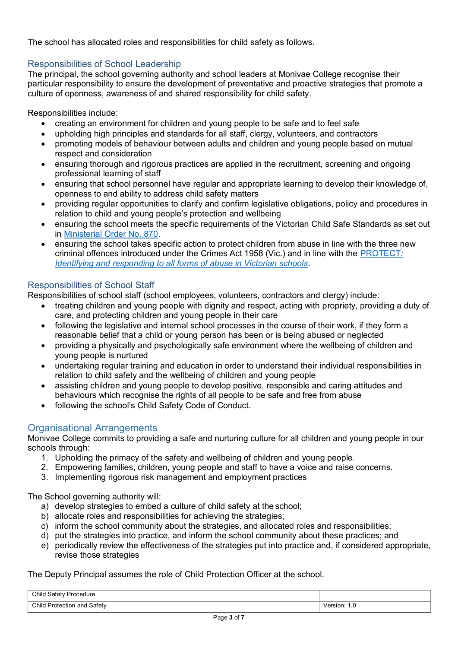The school has allocated roles and responsibilities for child safety as follows.

#### Responsibilities of School Leadership

The principal, the school governing authority and school leaders at Monivae College recognise their particular responsibility to ensure the development of preventative and proactive strategies that promote a culture of openness, awareness of and shared responsibility for child safety.

Responsibilities include:

- creating an environment for children and young people to be safe and to feel safe
- upholding high principles and standards for all staff, clergy, volunteers, and contractors
- promoting models of behaviour between adults and children and young people based on mutual respect and consideration
- ensuring thorough and rigorous practices are applied in the recruitment, screening and ongoing professional learning of staff
- ensuring that school personnel have regular and appropriate learning to develop their knowledge of, openness to and ability to address child safety matters
- providing regular opportunities to clarify and confirm legislative obligations, policy and procedures in relation to child and young people's protection and wellbeing
- ensuring the school meets the specific requirements of the Victorian Child Safe Standards as set out in Ministerial Order No. 870.
- ensuring the school takes specific action to protect children from abuse in line with the three new criminal offences introduced under the Crimes Act 1958 (Vic.) and in line with the PROTECT*: Identifying and responding to all forms of abuse in Victorian schools*.

#### Responsibilities of School Staff

Responsibilities of school staff (school employees, volunteers, contractors and clergy) include:

- treating children and young people with dignity and respect, acting with propriety, providing a duty of care, and protecting children and young people in their care
- following the legislative and internal school processes in the course of their work, if they form a reasonable belief that a child or young person has been or is being abused or neglected
- providing a physically and psychologically safe environment where the wellbeing of children and young people is nurtured
- undertaking regular training and education in order to understand their individual responsibilities in relation to child safety and the wellbeing of children and young people
- assisting children and young people to develop positive, responsible and caring attitudes and behaviours which recognise the rights of all people to be safe and free from abuse
- following the school's Child Safety Code of Conduct.

#### Organisational Arrangements

Monivae College commits to providing a safe and nurturing culture for all children and young people in our schools through:

- 1. Upholding the primacy of the safety and wellbeing of children and young people.
- 2. Empowering families, children, young people and staff to have a voice and raise concerns.
- 3. Implementing rigorous risk management and employment practices

The School governing authority will:

- a) develop strategies to embed a culture of child safety at the school;
- b) allocate roles and responsibilities for achieving the strategies;
- c) inform the school community about the strategies, and allocated roles and responsibilities;
- d) put the strategies into practice, and inform the school community about these practices; and
- e) periodically review the effectiveness of the strategies put into practice and, if considered appropriate, revise those strategies

#### The Deputy Principal assumes the role of Child Protection Officer at the school.

| Child Safety Procedure      |              |
|-----------------------------|--------------|
| Child Protection and Safety | ersion: 1.0/ |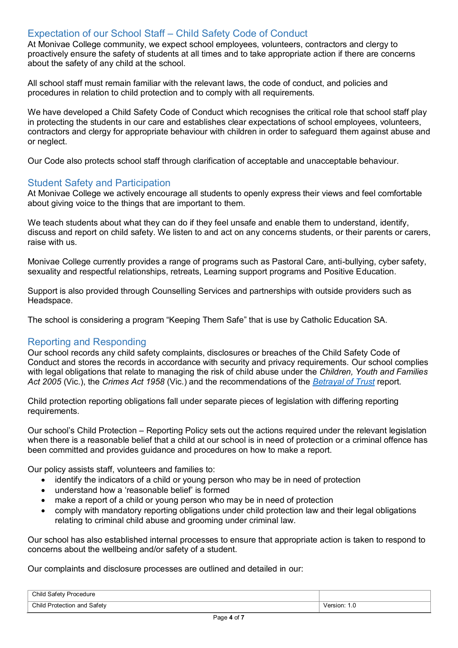#### Expectation of our School Staff – Child Safety Code of Conduct

At Monivae College community, we expect school employees, volunteers, contractors and clergy to proactively ensure the safety of students at all times and to take appropriate action if there are concerns about the safety of any child at the school.

All school staff must remain familiar with the relevant laws, the code of conduct, and policies and procedures in relation to child protection and to comply with all requirements.

We have developed a Child Safety Code of Conduct which recognises the critical role that school staff play in protecting the students in our care and establishes clear expectations of school employees, volunteers, contractors and clergy for appropriate behaviour with children in order to safeguard them against abuse and or neglect.

Our Code also protects school staff through clarification of acceptable and unacceptable behaviour.

#### Student Safety and Participation

At Monivae College we actively encourage all students to openly express their views and feel comfortable about giving voice to the things that are important to them.

We teach students about what they can do if they feel unsafe and enable them to understand, identify, discuss and report on child safety. We listen to and act on any concerns students, or their parents or carers, raise with us.

Monivae College currently provides a range of programs such as Pastoral Care, anti-bullying, cyber safety, sexuality and respectful relationships, retreats, Learning support programs and Positive Education.

Support is also provided through Counselling Services and partnerships with outside providers such as Headspace.

The school is considering a program "Keeping Them Safe" that is use by Catholic Education SA.

#### Reporting and Responding

Our school records any child safety complaints, disclosures or breaches of the Child Safety Code of Conduct and stores the records in accordance with security and privacy requirements. Our school complies with legal obligations that relate to managing the risk of child abuse under the *Children, Youth and Families Act 2005* (Vic.), the *Crimes Act 1958* (Vic.) and the recommendations of the *Betrayal of Trust* report.

Child protection reporting obligations fall under separate pieces of legislation with differing reporting requirements.

Our school's Child Protection – Reporting Policy sets out the actions required under the relevant legislation when there is a reasonable belief that a child at our school is in need of protection or a criminal offence has been committed and provides guidance and procedures on how to make a report.

Our policy assists staff, volunteers and families to:

- identify the indicators of a child or young person who may be in need of protection
- understand how a 'reasonable belief' is formed
- make a report of a child or young person who may be in need of protection
- comply with mandatory reporting obligations under child protection law and their legal obligations relating to criminal child abuse and grooming under criminal law.

Our school has also established internal processes to ensure that appropriate action is taken to respond to concerns about the wellbeing and/or safety of a student.

Our complaints and disclosure processes are outlined and detailed in our:

| Child Safety<br>Procedure   |                 |
|-----------------------------|-----------------|
| Child Protection and Safety | Version:<br>ن ا |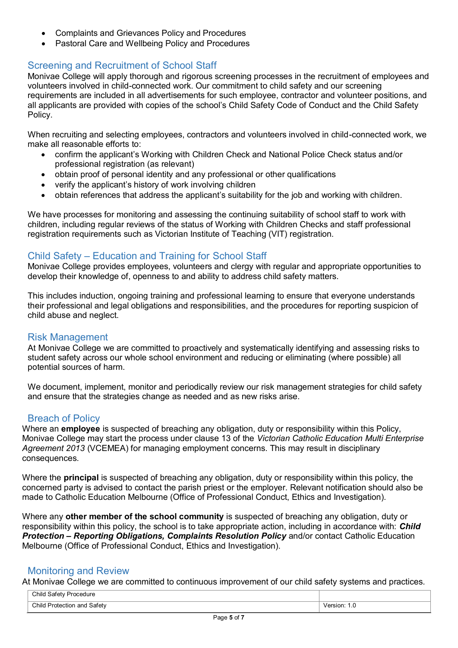- Complaints and Grievances Policy and Procedures
- Pastoral Care and Wellbeing Policy and Procedures

#### Screening and Recruitment of School Staff

Monivae College will apply thorough and rigorous screening processes in the recruitment of employees and volunteers involved in child-connected work. Our commitment to child safety and our screening requirements are included in all advertisements for such employee, contractor and volunteer positions, and all applicants are provided with copies of the school's Child Safety Code of Conduct and the Child Safety Policy.

When recruiting and selecting employees, contractors and volunteers involved in child-connected work, we make all reasonable efforts to:

- confirm the applicant's Working with Children Check and National Police Check status and/or professional registration (as relevant)
- obtain proof of personal identity and any professional or other qualifications
- verify the applicant's history of work involving children
- obtain references that address the applicant's suitability for the job and working with children.

We have processes for monitoring and assessing the continuing suitability of school staff to work with children, including regular reviews of the status of Working with Children Checks and staff professional registration requirements such as Victorian Institute of Teaching (VIT) registration.

#### Child Safety – Education and Training for School Staff

Monivae College provides employees, volunteers and clergy with regular and appropriate opportunities to develop their knowledge of, openness to and ability to address child safety matters.

This includes induction, ongoing training and professional learning to ensure that everyone understands their professional and legal obligations and responsibilities, and the procedures for reporting suspicion of child abuse and neglect.

#### Risk Management

At Monivae College we are committed to proactively and systematically identifying and assessing risks to student safety across our whole school environment and reducing or eliminating (where possible) all potential sources of harm.

We document, implement, monitor and periodically review our risk management strategies for child safety and ensure that the strategies change as needed and as new risks arise.

#### Breach of Policy

Where an **employee** is suspected of breaching any obligation, duty or responsibility within this Policy, Monivae College may start the process under clause 13 of the *Victorian Catholic Education Multi Enterprise Agreement 2013* (VCEMEA) for managing employment concerns. This may result in disciplinary consequences.

Where the **principal** is suspected of breaching any obligation, duty or responsibility within this policy, the concerned party is advised to contact the parish priest or the employer. Relevant notification should also be made to Catholic Education Melbourne (Office of Professional Conduct, Ethics and Investigation).

Where any **other member of the school community** is suspected of breaching any obligation, duty or responsibility within this policy, the school is to take appropriate action, including in accordance with: *Child Protection – Reporting Obligations, Complaints Resolution Policy* and/or contact Catholic Education Melbourne (Office of Professional Conduct, Ethics and Investigation).

#### Monitoring and Review

At Monivae College we are committed to continuous improvement of our child safety systems and practices.

| Child Safety Procedure      |              |
|-----------------------------|--------------|
| Child Protection and Safety | Version: 1.0 |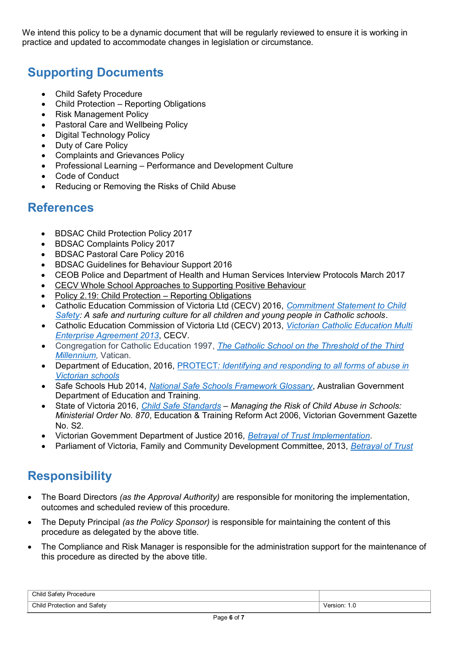We intend this policy to be a dynamic document that will be regularly reviewed to ensure it is working in practice and updated to accommodate changes in legislation or circumstance.

# **Supporting Documents**

- Child Safety Procedure
- Child Protection Reporting Obligations
- Risk Management Policy
- Pastoral Care and Wellbeing Policy
- Digital Technology Policy
- Duty of Care Policy
- Complaints and Grievances Policy
- Professional Learning Performance and Development Culture
- Code of Conduct
- Reducing or Removing the Risks of Child Abuse

### **References**

- BDSAC Child Protection Policy 2017
- BDSAC Complaints Policy 2017
- BDSAC Pastoral Care Policy 2016
- BDSAC Guidelines for Behaviour Support 2016
- CEOB Police and Department of Health and Human Services Interview Protocols March 2017
- CECV Whole School Approaches to Supporting Positive Behaviour
- Policy 2.19: Child Protection Reporting Obligations
- Catholic Education Commission of Victoria Ltd (CECV) 2016, *Commitment Statement to Child Safety: A safe and nurturing culture for all children and young people in Catholic schools*.
- Catholic Education Commission of Victoria Ltd (CECV) 2013, *Victorian Catholic Education Multi Enterprise Agreement 2013*, CECV.
- Congregation for Catholic Education 1997, *The Catholic School on the Threshold of the Third Millennium,* Vatican.
- Department of Education, 2016, PROTECT*: Identifying and responding to all forms of abuse in Victorian schools*
- Safe Schools Hub 2014, *National Safe Schools Framework Glossary*, Australian Government Department of Education and Training.
- State of Victoria 2016, *Child Safe Standards – Managing the Risk of Child Abuse in Schools: Ministerial Order No. 870*, Education & Training Reform Act 2006, Victorian Government Gazette No. S2.
- Victorian Government Department of Justice 2016, *Betrayal of Trust Implementation*.
- Parliament of Victoria, Family and Community Development Committee, 2013, *Betrayal of Trust*

# **Responsibility**

- The Board Directors *(as the Approval Authority)* are responsible for monitoring the implementation, outcomes and scheduled review of this procedure.
- The Deputy Principal *(as the Policy Sponsor)* is responsible for maintaining the content of this procedure as delegated by the above title.
- The Compliance and Risk Manager is responsible for the administration support for the maintenance of this procedure as directed by the above title.

| Child<br>Safety<br>v Procedure    |             |
|-----------------------------------|-------------|
| Child<br>Safetv<br>Protection and | Version: 1. |